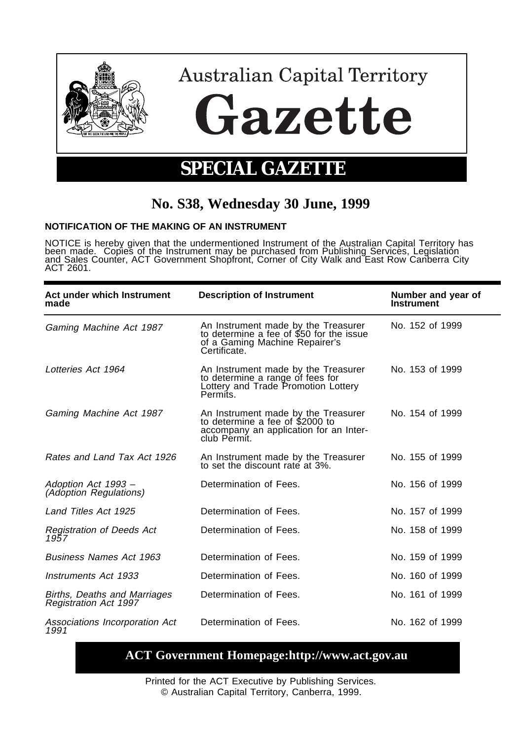

## **No. S38, Wednesday 30 June, 1999**

## **NOTIFICATION OF THE MAKING OF AN INSTRUMENT**

NOTICE is hereby given that the undermentioned Instrument of the Australian Capital Territory has been made. Copies of the Instrument may be purchased from Publishing Services, Legislation and Sales Counter, ACT Government Shopfront, Corner of City Walk and East Row Canberra City ACT 2601.

| Act under which Instrument<br>made                           | <b>Description of Instrument</b>                                                                                                  | Number and year of<br><b>Instrument</b> |
|--------------------------------------------------------------|-----------------------------------------------------------------------------------------------------------------------------------|-----------------------------------------|
| Gaming Machine Act 1987                                      | An Instrument made by the Treasurer<br>to determine a fee of \$50 for the issue<br>of a Gaming Machine Repairer's<br>Certificate. | No. 152 of 1999                         |
| Lotteries Act 1964                                           | An Instrument made by the Treasurer<br>to determine a range of fees for<br>Lottery and Trade Promotion Lottery<br>Permits.        | No. 153 of 1999                         |
| Gaming Machine Act 1987                                      | An Instrument made by the Treasurer<br>to determine a fee of \$2000 to<br>accompany an application for an Inter-<br>club Permit.  | No. 154 of 1999                         |
| Rates and Land Tax Act 1926                                  | An Instrument made by the Treasurer<br>to set the discount rate at 3%.                                                            | No. 155 of 1999                         |
| Adoption Act 1993 -<br><i>(Adoption Regulations)</i>         | Determination of Fees.                                                                                                            | No. 156 of 1999                         |
| Land Titles Act 1925                                         | Determination of Fees.                                                                                                            | No. 157 of 1999                         |
| Registration of Deeds Act<br>1957                            | Determination of Fees.                                                                                                            | No. 158 of 1999                         |
| <b>Business Names Act 1963</b>                               | Determination of Fees.                                                                                                            | No. 159 of 1999                         |
| Instruments Act 1933                                         | Determination of Fees.                                                                                                            | No. 160 of 1999                         |
| Births, Deaths and Marriages<br><b>Registration Act 1997</b> | Determination of Fees.                                                                                                            | No. 161 of 1999                         |
| Associations Incorporation Act<br>1991                       | Determination of Fees.                                                                                                            | No. 162 of 1999                         |

## **ACT Government Homepage:http://www.act.gov.au**

Printed for the ACT Executive by Publishing Services. © Australian Capital Territory, Canberra, 1999.